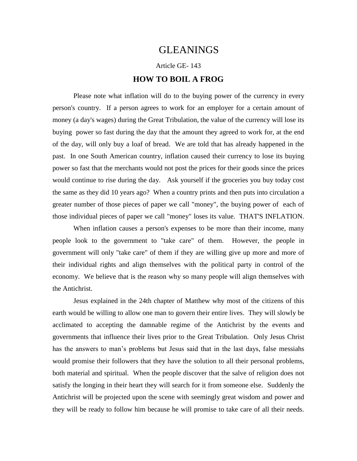## GLEANINGS

Article GE- 143

## **HOW TO BOIL A FROG**

Please note what inflation will do to the buying power of the currency in every person's country. If a person agrees to work for an employer for a certain amount of money (a day's wages) during the Great Tribulation, the value of the currency will lose its buying power so fast during the day that the amount they agreed to work for, at the end of the day, will only buy a loaf of bread. We are told that has already happened in the past. In one South American country, inflation caused their currency to lose its buying power so fast that the merchants would not post the prices for their goods since the prices would continue to rise during the day. Ask yourself if the groceries you buy today cost the same as they did 10 years ago? When a country prints and then puts into circulation a greater number of those pieces of paper we call "money", the buying power of each of those individual pieces of paper we call "money" loses its value. THAT'S INFLATION.

When inflation causes a person's expenses to be more than their income, many people look to the government to "take care" of them. However, the people in government will only "take care" of them if they are willing give up more and more of their individual rights and align themselves with the political party in control of the economy. We believe that is the reason why so many people will align themselves with the Antichrist.

Jesus explained in the 24th chapter of Matthew why most of the citizens of this earth would be willing to allow one man to govern their entire lives. They will slowly be acclimated to accepting the damnable regime of the Antichrist by the events and governments that influence their lives prior to the Great Tribulation. Only Jesus Christ has the answers to man's problems but Jesus said that in the last days, false messiahs would promise their followers that they have the solution to all their personal problems, both material and spiritual. When the people discover that the salve of religion does not satisfy the longing in their heart they will search for it from someone else. Suddenly the Antichrist will be projected upon the scene with seemingly great wisdom and power and they will be ready to follow him because he will promise to take care of all their needs.